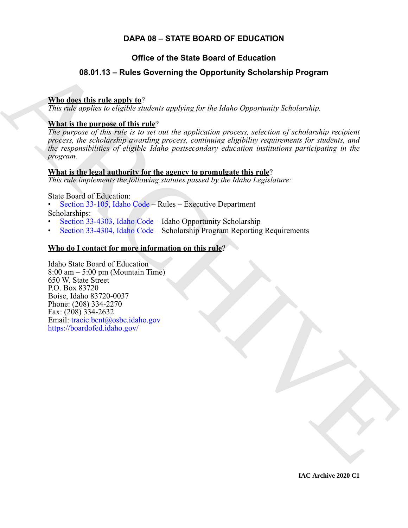# **DAPA 08 – STATE BOARD OF EDUCATION**

# **Office of the State Board of Education**

# <span id="page-0-0"></span>**08.01.13 – Rules Governing the Opportunity Scholarship Program**

# **Who does this rule apply to**?

*This rule applies to eligible students applying for the Idaho Opportunity Scholarship.*

# **What is the purpose of this rule**?

**08.01.13 – [R](https://legislature.idaho.gov/statutesrules/idstat/Title33/T33CH1/SECT33-105/)ules Governing the Opportunity Scholarship Program**<br>
The describing the angle of *the diability and the controlline in the [C](https://legislature.idaho.gov/statutesrules/idstat/Title33/T33CH43/SECT33-4304/)ontrolline Scholarship controllines*<br>
The rate of *profession in the state of a stra The purpose of this rule is to set out the application process, selection of scholarship recipient process, the scholarship awarding process, continuing eligibility requirements for students, and the responsibilities of eligible Idaho postsecondary education institutions participating in the program.*

# **What is the legal authority for the agency to promulgate this rule**?

*This rule implements the following statutes passed by the Idaho Legislature:*

State Board of Education:

- Section 33-105, Idaho Code Rules Executive Department Scholarships:
- Section 33-4303, Idaho Code Idaho Opportunity Scholarship
- Section 33-4304, Idaho Code Scholarship Program Reporting Requirements

# **Who do I contact for more information on this rule**?

Idaho State Board of Education 8:00 am – 5:00 pm (Mountain Time) 650 W. State Street P.O. Box 83720 Boise, Idaho 83720-0037 Phone: (208) 334-2270 Fax: (208) 334-2632 Email: tracie.bent@osbe.idaho.gov https://boardofed.idaho.gov/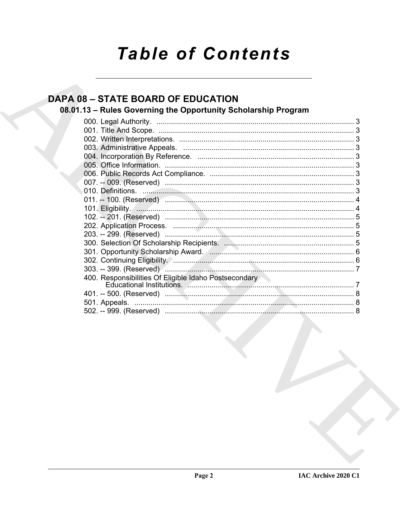# **Table of Contents**

# **DAPA 08 - STATE BOARD OF EDUCATION**

# 08.01.13 - Rules Governing the Opportunity Scholarship Program

| 301. Opportunity Scholarship Award. (2008). 201. Opportunity Scholarship Award. (2008). |  |
|-----------------------------------------------------------------------------------------|--|
|                                                                                         |  |
|                                                                                         |  |
| 400. Responsibilities Of Eligible Idaho Postsecondary                                   |  |
|                                                                                         |  |
|                                                                                         |  |
|                                                                                         |  |
|                                                                                         |  |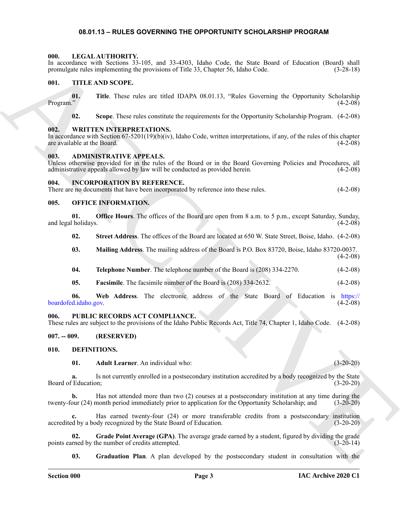#### <span id="page-2-15"></span>**08.01.13 – RULES GOVERNING THE OPPORTUNITY SCHOLARSHIP PROGRAM**

#### <span id="page-2-1"></span><span id="page-2-0"></span>**000. LEGAL AUTHORITY.**

In accordance with Sections 33-105, and 33-4303, Idaho Code, the State Board of Education (Board) shall promulgate rules implementing the provisions of Title 33, Chapter 56, Idaho Code. (3-28-18)

#### <span id="page-2-18"></span><span id="page-2-2"></span>**001. TITLE AND SCOPE.**

**01.** Title. These rules are titled IDAPA 08.01.13, "Rules Governing the Opportunity Scholarship (4-2-08) Program."  $(4-2-08)$ 

<span id="page-2-19"></span>**02. Scope**. These rules constitute the requirements for the Opportunity Scholarship Program. (4-2-08)

#### <span id="page-2-3"></span>**002. WRITTEN INTERPRETATIONS.**

In accordance with Section 67-5201(19)(b)(iv), Idaho Code, written interpretations, if any, of the rules of this chapter are available at the Board.  $(4-2-08)$ are available at the Board.

#### <span id="page-2-10"></span><span id="page-2-4"></span>**003. ADMINISTRATIVE APPEALS.**

Unless otherwise provided for in the rules of the Board or in the Board Governing Policies and Procedures, all administrative appeals allowed by law will be conducted as provided herein. (4-2-08)

#### <span id="page-2-5"></span>**004. INCORPORATION BY REFERENCE.**

There are no documents that have been incorporated by reference into these rules. (4-2-08)

#### <span id="page-2-16"></span><span id="page-2-6"></span>**005. OFFICE INFORMATION.**

**01. Office Hours**. The offices of the Board are open from 8 a.m. to 5 p.m., except Saturday, Sunday, and legal holidays.

**02. Street Address**. The offices of the Board are located at 650 W. State Street, Boise, Idaho. (4-2-08)

- **03. Mailing Address**. The mailing address of the Board is P.O. Box 83720, Boise, Idaho 83720-0037. (4-2-08)
- **04. Telephone Number**. The telephone number of the Board is (208) 334-2270. (4-2-08)
- **05.** Facsimile. The facsimile number of the Board is (208) 334-2632. (4-2-08)

In account with Sources of 2.501 sept. 2.601 (2.51 and 2.61 and 2.61 and 2.61 and 3.61 and 3.61 and 3.75 and 3.75 and 3.75 and 3.75 and 3.75 and 3.75 and 3.75 and 3.75 and 3.75 and 3.75 and 3.75 and 3.75 and 3.75 and 3.7 **06. Web Address**. The electronic address of the State Board of Education is https:// boardofed.idaho.gov.

#### <span id="page-2-17"></span><span id="page-2-7"></span>**006. PUBLIC RECORDS ACT COMPLIANCE.**

These rules are subject to the provisions of the Idaho Public Records Act, Title 74, Chapter 1, Idaho Code. (4-2-08)

#### <span id="page-2-8"></span>**007. -- 009. (RESERVED)**

<span id="page-2-9"></span>**010. DEFINITIONS.**

<span id="page-2-12"></span><span id="page-2-11"></span>**01. Adult Learner**. An individual who: (3-20-20)

**a.** Is not currently enrolled in a postsecondary institution accredited by a body recognized by the State (3-20-20) Board of Education:

**b.** Has not attended more than two (2) courses at a postsecondary institution at any time during the our (24) month period immediately prior to application for the Opportunity Scholarship; and (3-20-20) twenty-four (24) month period immediately prior to application for the Opportunity Scholarship; and

Has earned twenty-four (24) or more transferable credits from a postsecondary institution of recognized by the State Board of Education. (3-20-20) accredited by a body recognized by the State Board of Education.

**02.** Grade Point Average (GPA). The average grade earned by a student, figured by dividing the grade rned by the number of credits attempted. points earned by the number of credits attempted.

<span id="page-2-14"></span><span id="page-2-13"></span>**03. Graduation Plan**. A plan developed by the postsecondary student in consultation with the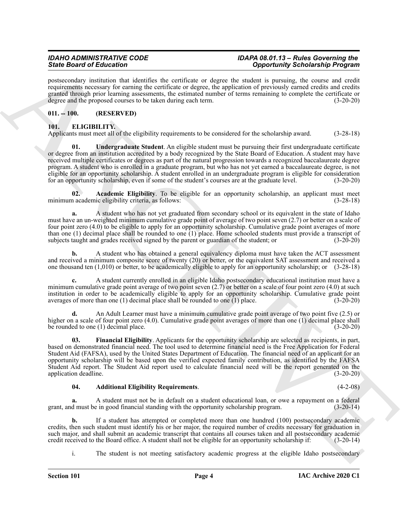postsecondary institution that identifies the certificate or degree the student is pursuing, the course and credit requirements necessary for earning the certificate or degree, the application of previously earned credits and credits granted through prior learning assessments, the estimated number of terms remaining to complete the certificate or degree and the proposed courses to be taken during each term.  $(3-20-20)$ 

#### <span id="page-3-0"></span>**011. -- 100. (RESERVED)**

### <span id="page-3-2"></span><span id="page-3-1"></span>**101. ELIGIBILITY.**

<span id="page-3-6"></span>Applicants must meet all of the eligibility requirements to be considered for the scholarship award. (3-28-18)

Since Brazil et Education Control in the statistic technique statistic procedure Scholars (Education Scholars (Education Scholars (Education Scholars (Education Scholars (Education Scholars (Education Scholars (Education **01. Undergraduate Student**. An eligible student must be pursuing their first undergraduate certificate or degree from an institution accredited by a body recognized by the State Board of Education. A student may have received multiple certificates or degrees as part of the natural progression towards a recognized baccalaureate degree program. A student who is enrolled in a graduate program, but who has not yet earned a baccalaureate degree, is not eligible for an opportunity scholarship. A student enrolled in an undergraduate program is eligible for consideration for an opportunity scholarship, even if some of the student's courses are at the graduate level. (3-20-20)

<span id="page-3-3"></span>**02. Academic Eligibility**. To be eligible for an opportunity scholarship, an applicant must meet minimum academic eligibility criteria, as follows: (3-28-18)

**a.** A student who has not yet graduated from secondary school or its equivalent in the state of Idaho must have an un-weighted minimum cumulative grade point of average of two point seven (2.7) or better on a scale of four point zero (4.0) to be eligible to apply for an opportunity scholarship. Cumulative grade point averages of more than one (1) decimal place shall be rounded to one (1) place. Home schooled students must provide a transcript of subjects taught and grades received signed by the parent or guardian of the student; or (3-20-20) subjects taught and grades received signed by the parent or guardian of the student; or

**b.** A student who has obtained a general equivalency diploma must have taken the ACT assessment and received a minimum composite score of twenty (20) or better, or the equivalent SAT assessment and received a one thousand ten (1,010) or better, to be academically eligible to apply for an opportunity scholarship; or (3-28-18)

**c.** A student currently enrolled in an eligible Idaho postsecondary educational institution must have a minimum cumulative grade point average of two point seven  $(2.7)$  or better on a scale of four point zero  $(4.0)$  at such institution in order to be academically eligible to apply for an opportunity scholarship. Cumulative grade point averages of more than one (1) decimal place shall be rounded to one (1) place. (3-20-20)

**d.** An Adult Learner must have a minimum cumulative grade point average of two point five (2.5) or higher on a scale of four point zero (4.0). Cumulative grade point averages of more than one (1) decimal place shall be rounded to one (1) decimal place.  $(3-20-20)$ 

<span id="page-3-5"></span>**03. Financial Eligibility**. Applicants for the opportunity scholarship are selected as recipients, in part, based on demonstrated financial need. The tool used to determine financial need is the Free Application for Federal Student Aid (FAFSA), used by the United States Department of Education. The financial need of an applicant for an opportunity scholarship will be based upon the verified expected family contribution, as identified by the FAFSA Student Aid report. The Student Aid report used to calculate financial need will be the report generated on the application deadline.

#### <span id="page-3-4"></span>**04. Additional Eligibility Requirements**. (4-2-08)

**a.** A student must not be in default on a student educational loan, or owe a repayment on a federal d must be in good financial standing with the opportunity scholarship program. (3-20-14) grant, and must be in good financial standing with the opportunity scholarship program.

**b.** If a student has attempted or completed more than one hundred (100) postsecondary academic credits, then such student must identify his or her major, the required number of credits necessary for graduation in such major, and shall submit an academic transcript that contains all courses taken and all postsecondary academic credit received to the Board office. A student shall not be eligible for an opportunity scholarship if: (3credit received to the Board office. A student shall not be eligible for an opportunity scholarship if:

i. The student is not meeting satisfactory academic progress at the eligible Idaho postsecondary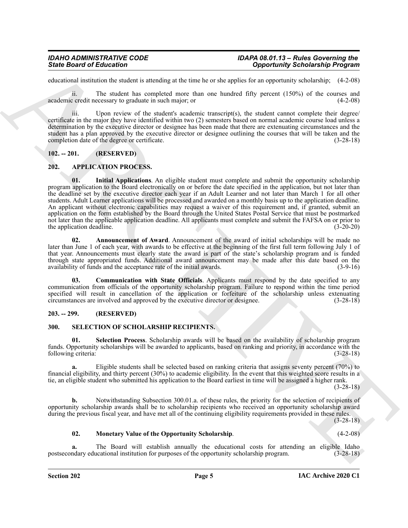educational institution the student is attending at the time he or she applies for an opportunity scholarship; (4-2-08)

ii. The student has completed more than one hundred fifty percent (150%) of the courses and academic credit necessary to graduate in such major; or (4-2-08)

iii. Upon review of the student's academic transcript(s), the student cannot complete their degree/ certificate in the major they have identified within two (2) semesters based on normal academic course load unless a determination by the executive director or designee has been made that there are extenuating circumstances and the student has a plan approved by the executive director or designee outlining the courses that will be taken and the completion date of the degree or certificate. (3-28-18)

#### <span id="page-4-0"></span>**102. -- 201. (RESERVED)**

#### <span id="page-4-7"></span><span id="page-4-4"></span><span id="page-4-1"></span>**202. APPLICATION PROCESS.**

Since Board of Entremotion Constraints of the time to velocity of the system of the system of the system of the system of the system of the system of the system of the system of the system of the system of the system of t **01. Initial Applications**. An eligible student must complete and submit the opportunity scholarship program application to the Board electronically on or before the date specified in the application, but not later than the deadline set by the executive director each year if an Adult Learner and not later than March 1 for all other students. Adult Learner applications will be processed and awarded on a monthly basis up to the application deadline. An applicant without electronic capabilities may request a waiver of this requirement and, if granted, submit an application on the form established by the Board through the United States Postal Service that must be postmarked not later than the applicable application deadline. All applicants must complete and submit the FAFSA on or prior to<br>(3-20-20) (3-20-20) the application deadline.

<span id="page-4-5"></span>**02. Announcement of Award**. Announcement of the award of initial scholarships will be made no later than June 1 of each year, with awards to be effective at the beginning of the first full term following July 1 of that year. Announcements must clearly state the award is part of the state's scholarship program and is funded through state appropriated funds. Additional award announcement may be made after this date based on the availability of funds and the acceptance rate of the initial awards.

<span id="page-4-6"></span>**03. Communication with State Officials**. Applicants must respond by the date specified to any communication from officials of the opportunity scholarship program. Failure to respond within the time period specified will result in cancellation of the application or forfeiture of the scholarship unless extenuating circumstances are involved and approved by the executive director or designee. (3-28-18)

#### <span id="page-4-2"></span>**203. -- 299. (RESERVED)**

#### <span id="page-4-8"></span><span id="page-4-3"></span>**300. SELECTION OF SCHOLARSHIP RECIPIENTS.**

<span id="page-4-10"></span>**01. Selection Process**. Scholarship awards will be based on the availability of scholarship program funds. Opportunity scholarships will be awarded to applicants, based on ranking and priority, in accordance with the following criteria: (3-28-18)

**a.** Eligible students shall be selected based on ranking criteria that assigns seventy percent (70%) to financial eligibility, and thirty percent (30%) to academic eligibility. In the event that this weighted score results in a tie, an eligible student who submitted his application to the Board earliest in time will be assigned a higher rank.

(3-28-18)

**b.** Notwithstanding Subsection 300.01.a. of these rules, the priority for the selection of recipients of opportunity scholarship awards shall be to scholarship recipients who received an opportunity scholarship award during the previous fiscal year, and have met all of the continuing eligibility requirements provided in these rules.

(3-28-18)

#### <span id="page-4-9"></span>**02. Monetary Value of the Opportunity Scholarship**. (4-2-08)

The Board will establish annually the educational costs for attending an eligible Idaho incational institution for purposes of the opportunity scholarship program. (3-28-18) postsecondary educational institution for purposes of the opportunity scholarship program.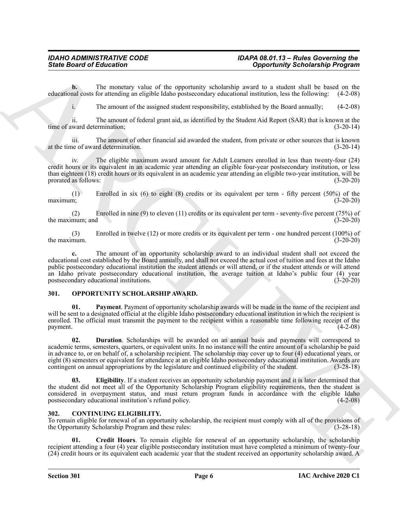**b.** The monetary value of the opportunity scholarship award to a student shall be based on the nal costs for attending an eligible Idaho postsecondary educational institution, less the following:  $(4-2-08)$ educational costs for attending an eligible Idaho postsecondary educational institution, less the following:

i. The amount of the assigned student responsibility, established by the Board annually; (4-2-08)

ii. The amount of federal grant aid, as identified by the Student Aid Report (SAR) that is known at the time of award determination; (3-20-14)

iii. The amount of other financial aid awarded the student, from private or other sources that is known ne of award determination. (3-20-14) at the time of award determination.

iv. The eligible maximum award amount for Adult Learners enrolled in less than twenty-four (24) credit hours or its equivalent in an academic year attending an eligible four-year postsecondary institution, or less than eighteen (18) credit hours or its equivalent in an academic year attending an eligible two-year institution, will be prorated as follows: (3-20-20)

(1) Enrolled in six (6) to eight (8) credits or its equivalent per term - fifty percent (50%) of the maximum; (3-20-20)

(2) Enrolled in nine (9) to eleven (11) credits or its equivalent per term - seventy-five percent (75%) of the maximum; and

(3) Enrolled in twelve (12) or more credits or its equivalent per term - one hundred percent (100%) of the maximum.

**c.** The amount of an opportunity scholarship award to an individual student shall not exceed the educational cost established by the Board annually, and shall not exceed the actual cost of tuition and fees at the Idaho public postsecondary educational institution the student attends or will attend, or if the student attends or will attend an Idaho private postsecondary educational institution, the average tuition at Idaho's public four (4) year postsecondary educational institutions. (3-20-20)

#### <span id="page-5-4"></span><span id="page-5-0"></span>**301. OPPORTUNITY SCHOLARSHIP AWARD.**

<span id="page-5-7"></span><span id="page-5-5"></span>**01. Payment**. Payment of opportunity scholarship awards will be made in the name of the recipient and will be sent to a designated official at the eligible Idaho postsecondary educational institution in which the recipient is enrolled. The official must transmit the payment to the recipient within a reasonable time following receipt of the  $p$ ayment.  $(4-2-08)$ 

Since Board of Entremotion Control is experimentally advantation with the based of the state of the measure of the measure of the state of the state of the state of the state of the state of the state of the state of the **02. Duration**. Scholarships will be awarded on an annual basis and payments will correspond to academic terms, semesters, quarters, or equivalent units. In no instance will the entire amount of a scholarship be paid in advance to, or on behalf of, a scholarship recipient. The scholarship may cover up to four (4) educational years, or eight (8) semesters or equivalent for attendance at an eligible Idaho postsecondary educational institution. Awards are contingent on annual appropriations by the legislature and continued eligibility of the student. (3-28 contingent on annual appropriations by the legislature and continued eligibility of the student.

<span id="page-5-6"></span>**03. Eligibility**. If a student receives an opportunity scholarship payment and it is later determined that the student did not meet all of the Opportunity Scholarship Program eligibility requirements, then the student is considered in overpayment status, and must return program funds in accordance with the eligible Idaho postsecondary educational institution's refund policy. (4-2-08) postsecondary educational institution's refund policy.

#### <span id="page-5-2"></span><span id="page-5-1"></span>**302. CONTINUING ELIGIBILITY.**

To remain eligible for renewal of an opportunity scholarship, the recipient must comply with all of the provisions of the Opportunity Scholarship Program and these rules: (3-28-18)

<span id="page-5-3"></span>**01. Credit Hours**. To remain eligible for renewal of an opportunity scholarship, the scholarship recipient attending a four (4) year eligible postsecondary institution must have completed a minimum of twenty-four (24) credit hours or its equivalent each academic year that the student received an opportunity scholarship award. A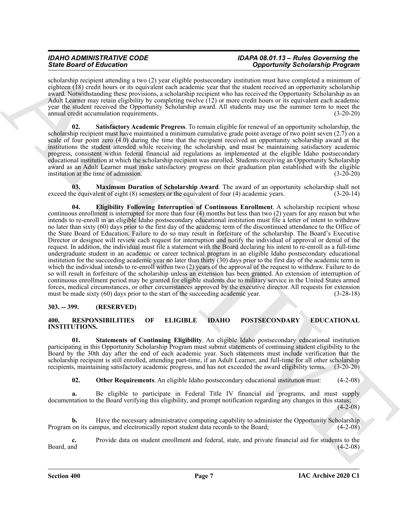# *IDAHO ADMINISTRATIVE CODE IDAPA 08.01.13 – Rules Governing the State Board of Education Opportunity Scholarship Program*

scholarship recipient attending a two (2) year eligible postsecondary institution must have completed a minimum of eighteen (18) credit hours or its equivalent each academic year that the student received an opportunity scholarship award. Notwithstanding these provisions, a scholarship recipient who has received the Opportunity Scholarship as an Adult Learner may retain eligibility by completing twelve (12) or more credit hours or its equivalent each academic year the student received the Opportunity Scholarship award. All students may use the summer term to meet the annual credit accumulation requirements. (3-20-20)

<span id="page-6-4"></span>**02. Satisfactory Academic Progress**. To remain eligible for renewal of an opportunity scholarship, the scholarship recipient must have maintained a minimum cumulative grade point average of two point seven (2.7) on a scale of four point zero (4.0) during the time that the recipient received an opportunity scholarship award at the institutions the student attended while receiving the scholarship, and must be maintaining satisfactory academic progress, consistent within federal financial aid regulations as implemented at the eligible Idaho postsecondary educational institution at which the scholarship recipient was enrolled. Students receiving an Opportunity Scholarship award as an Adult Learner must make satisfactory progress on their graduation plan established with the eligible institution at the time of admission. (3-20-20)

<span id="page-6-3"></span><span id="page-6-2"></span>**03. Maximum Duration of Scholarship Award**. The award of an opportunity scholarship shall not be equivalent of eight (8) semesters or the equivalent of four (4) academic years. (3-20-14) exceed the equivalent of eight  $(8)$  semesters or the equivalent of four  $(4)$  academic years.

Sink Board of Education 11 and Control in the state of the state of the state of the state of the state of the state of the state of the state of the state of the state of the state of the state of the state of the state **04. Eligibility Following Interruption of Continuous Enrollment**. A scholarship recipient whose continuous enrollment is interrupted for more than four (4) months but less than two (2) years for any reason but who intends to re-enroll in an eligible Idaho postsecondary educational institution must file a letter of intent to withdraw no later than sixty (60) days prior to the first day of the academic term of the discontinued attendance to the Office of the State Board of Education. Failure to do so may result in forfeiture of the scholarship. The Board's Executive Director or designee will review each request for interruption and notify the individual of approval or denial of the request. In addition, the individual must file a statement with the Board declaring his intent to re-enroll as a full-time undergraduate student in an academic or career technical program in an eligible Idaho postsecondary educational institution for the succeeding academic year no later than thirty (30) days prior to the first day of the academic term in which the individual intends to re-enroll within two (2) years of the approval of the request to withdraw. Failure to do so will result in forfeiture of the scholarship unless an extension has been granted. An extension of interruption of continuous enrollment period may be granted for eligible students due to military service in the United States armed forces, medical circumstances, or other circumstances approved by the executive director. All requests for extension must be made sixty (60) days prior to the start of the succeeding academic year. (3-28-18)

#### <span id="page-6-0"></span>**303. -- 399. (RESERVED)**

#### <span id="page-6-5"></span><span id="page-6-1"></span>**400. RESPONSIBILITIES OF ELIGIBLE IDAHO POSTSECONDARY EDUCATIONAL INSTITUTIONS.**

<span id="page-6-7"></span>**01. Statements of Continuing Eligibility**. An eligible Idaho postsecondary educational institution participating in this Opportunity Scholarship Program must submit statements of continuing student eligibility to the Board by the 30th day after the end of each academic year. Such statements must include verification that the scholarship recipient is still enrolled, attending part-time, if an Adult Learner, and full-time for all other scholarship recipients, maintaining satisfactory academic progress, and has not exceeded the award eligibility terms. (3-20-20)

<span id="page-6-6"></span>**02. Other Requirements**. An eligible Idaho postsecondary educational institution must:  $(4-2-08)$ 

**a.** Be eligible to participate in Federal Title IV financial aid programs, and must supply documentation to the Board verifying this eligibility, and prompt notification regarding any changes in this status;  $(4-2-08)$ 

**b.** Have the necessary administrative computing capability to administer the Opportunity Scholarship Program on its campus, and electronically report student data records to the Board; (4-2-08)

**c.** Provide data on student enrollment and federal, state, and private financial aid for students to the Board, and (4-2-08)  $\beta$ Board, and  $(4-2-08)$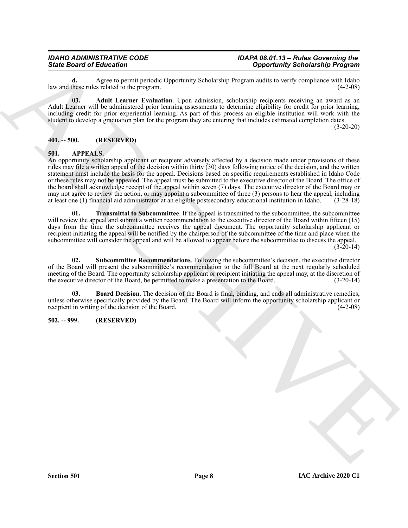**d.** Agree to permit periodic Opportunity Scholarship Program audits to verify compliance with Idaho these rules related to the program. law and these rules related to the program.

<span id="page-7-7"></span>**03. Adult Learner Evaluation**. Upon admission, scholarship recipients receiving an award as an Adult Learner will be administered prior learning assessments to determine eligibility for credit for prior learning, including credit for prior experiential learning. As part of this process an eligible institution will work with the student to develop a graduation plan for the program they are entering that includes estimated completion dates.

 $(3-20-20)$ 

#### <span id="page-7-0"></span>**401. -- 500. (RESERVED)**

#### <span id="page-7-3"></span><span id="page-7-1"></span>**501. APPEALS.**

Since Board of Education on the University Scholarship Scholarship Formation (1) and the University Scholarship Proposition (1) and the University Scholarship Proposition (1) and the University Scholarship Proposition (1) An opportunity scholarship applicant or recipient adversely affected by a decision made under provisions of these rules may file a written appeal of the decision within thirty (30) days following notice of the decision, and the written statement must include the basis for the appeal. Decisions based on specific requirements established in Idaho Code or these rules may not be appealed. The appeal must be submitted to the executive director of the Board. The office of the board shall acknowledge receipt of the appeal within seven (7) days. The executive director of the Board may or may not agree to review the action, or may appoint a subcommittee of three (3) persons to hear the appeal, including at least one (1) financial aid administrator at an eligible postsecondary educational institution in Idaho. (3-28-18)

<span id="page-7-6"></span>**01. Transmittal to Subcommittee**. If the appeal is transmitted to the subcommittee, the subcommittee will review the appeal and submit a written recommendation to the executive director of the Board within fifteen (15) days from the time the subcommittee receives the appeal document. The opportunity scholarship applicant or recipient initiating the appeal will be notified by the chairperson of the subcommittee of the time and place when the subcommittee will consider the appeal and will be allowed to appear before the subcommittee to discuss the appeal.  $(3-20-14)$ 

<span id="page-7-5"></span>**02. Subcommittee Recommendations**. Following the subcommittee's decision, the executive director of the Board will present the subcommittee's recommendation to the full Board at the next regularly scheduled meeting of the Board. The opportunity scholarship applicant or recipient initiating the appeal may, at the discretion of the executive director of the Board, be permitted to make a presentation to the Board. (3-20-14) the executive director of the Board, be permitted to make a presentation to the Board.

<span id="page-7-4"></span>**Board Decision**. The decision of the Board is final, binding, and ends all administrative remedies, unless otherwise specifically provided by the Board. The Board will inform the opportunity scholarship applicant or recipient in writing of the decision of the Board. recipient in writing of the decision of the Board.

#### <span id="page-7-2"></span>**502. -- 999. (RESERVED)**